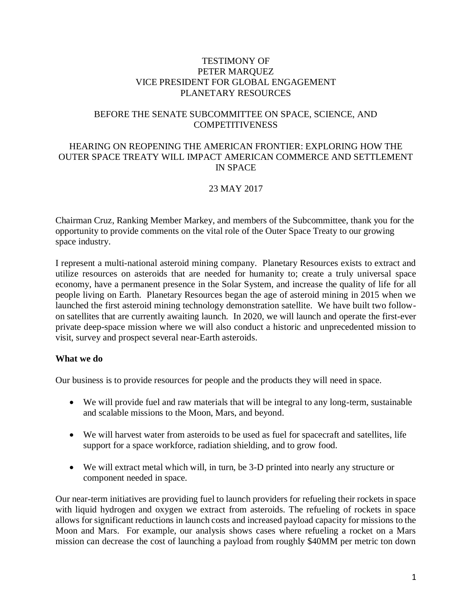#### TESTIMONY OF PETER MARQUEZ VICE PRESIDENT FOR GLOBAL ENGAGEMENT PLANETARY RESOURCES

## BEFORE THE SENATE SUBCOMMITTEE ON SPACE, SCIENCE, AND COMPETITIVENESS

## HEARING ON REOPENING THE AMERICAN FRONTIER: EXPLORING HOW THE OUTER SPACE TREATY WILL IMPACT AMERICAN COMMERCE AND SETTLEMENT IN SPACE

# 23 MAY 2017

Chairman Cruz, Ranking Member Markey, and members of the Subcommittee, thank you for the opportunity to provide comments on the vital role of the Outer Space Treaty to our growing space industry.

I represent a multi-national asteroid mining company. Planetary Resources exists to extract and utilize resources on asteroids that are needed for humanity to; create a truly universal space economy, have a permanent presence in the Solar System, and increase the quality of life for all people living on Earth. Planetary Resources began the age of asteroid mining in 2015 when we launched the first asteroid mining technology demonstration satellite. We have built two followon satellites that are currently awaiting launch. In 2020, we will launch and operate the first-ever private deep-space mission where we will also conduct a historic and unprecedented mission to visit, survey and prospect several near-Earth asteroids.

#### **What we do**

Our business is to provide resources for people and the products they will need in space.

- We will provide fuel and raw materials that will be integral to any long-term, sustainable and scalable missions to the Moon, Mars, and beyond.
- We will harvest water from asteroids to be used as fuel for spacecraft and satellites, life support for a space workforce, radiation shielding, and to grow food.
- We will extract metal which will, in turn, be 3-D printed into nearly any structure or component needed in space.

Our near-term initiatives are providing fuel to launch providers for refueling their rockets in space with liquid hydrogen and oxygen we extract from asteroids. The refueling of rockets in space allows for significant reductions in launch costs and increased payload capacity for missions to the Moon and Mars. For example, our analysis shows cases where refueling a rocket on a Mars mission can decrease the cost of launching a payload from roughly \$40MM per metric ton down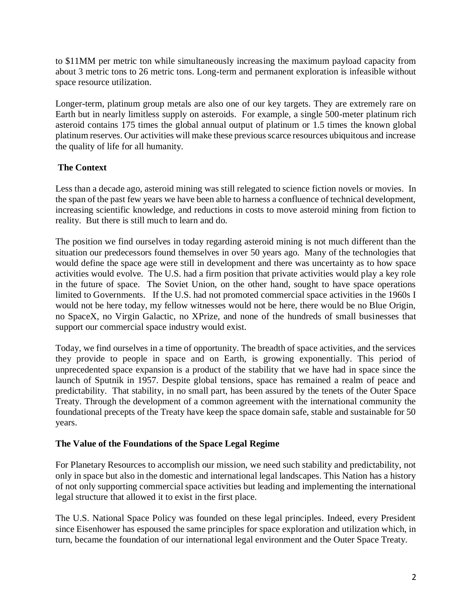to \$11MM per metric ton while simultaneously increasing the maximum payload capacity from about 3 metric tons to 26 metric tons. Long-term and permanent exploration is infeasible without space resource utilization.

Longer-term, platinum group metals are also one of our key targets. They are extremely rare on Earth but in nearly limitless supply on asteroids. For example, a single 500-meter platinum rich asteroid contains 175 times the global annual output of platinum or 1.5 times the known global platinum reserves. Our activities will make these previous scarce resources ubiquitous and increase the quality of life for all humanity.

# **The Context**

Less than a decade ago, asteroid mining was still relegated to science fiction novels or movies. In the span of the past few years we have been able to harness a confluence of technical development, increasing scientific knowledge, and reductions in costs to move asteroid mining from fiction to reality. But there is still much to learn and do.

The position we find ourselves in today regarding asteroid mining is not much different than the situation our predecessors found themselves in over 50 years ago. Many of the technologies that would define the space age were still in development and there was uncertainty as to how space activities would evolve. The U.S. had a firm position that private activities would play a key role in the future of space. The Soviet Union, on the other hand, sought to have space operations limited to Governments. If the U.S. had not promoted commercial space activities in the 1960s I would not be here today, my fellow witnesses would not be here, there would be no Blue Origin, no SpaceX, no Virgin Galactic, no XPrize, and none of the hundreds of small businesses that support our commercial space industry would exist.

Today, we find ourselves in a time of opportunity. The breadth of space activities, and the services they provide to people in space and on Earth, is growing exponentially. This period of unprecedented space expansion is a product of the stability that we have had in space since the launch of Sputnik in 1957. Despite global tensions, space has remained a realm of peace and predictability. That stability, in no small part, has been assured by the tenets of the Outer Space Treaty. Through the development of a common agreement with the international community the foundational precepts of the Treaty have keep the space domain safe, stable and sustainable for 50 years.

# **The Value of the Foundations of the Space Legal Regime**

For Planetary Resources to accomplish our mission, we need such stability and predictability, not only in space but also in the domestic and international legal landscapes. This Nation has a history of not only supporting commercial space activities but leading and implementing the international legal structure that allowed it to exist in the first place.

The U.S. National Space Policy was founded on these legal principles. Indeed, every President since Eisenhower has espoused the same principles for space exploration and utilization which, in turn, became the foundation of our international legal environment and the Outer Space Treaty.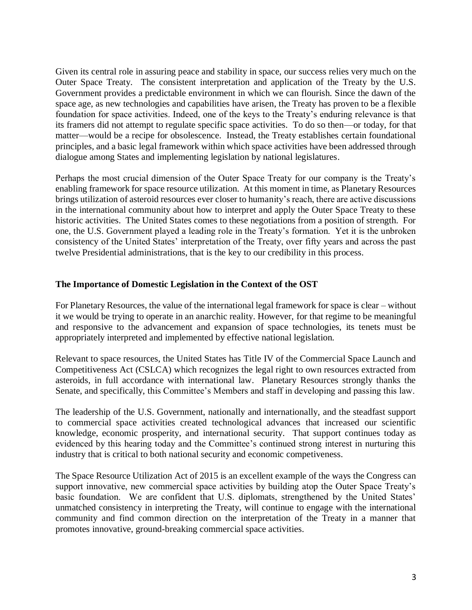Given its central role in assuring peace and stability in space, our success relies very much on the Outer Space Treaty. The consistent interpretation and application of the Treaty by the U.S. Government provides a predictable environment in which we can flourish. Since the dawn of the space age, as new technologies and capabilities have arisen, the Treaty has proven to be a flexible foundation for space activities. Indeed, one of the keys to the Treaty's enduring relevance is that its framers did not attempt to regulate specific space activities. To do so then—or today, for that matter—would be a recipe for obsolescence. Instead, the Treaty establishes certain foundational principles, and a basic legal framework within which space activities have been addressed through dialogue among States and implementing legislation by national legislatures.

Perhaps the most crucial dimension of the Outer Space Treaty for our company is the Treaty's enabling framework for space resource utilization. At this moment in time, as Planetary Resources brings utilization of asteroid resources ever closer to humanity's reach, there are active discussions in the international community about how to interpret and apply the Outer Space Treaty to these historic activities. The United States comes to these negotiations from a position of strength. For one, the U.S. Government played a leading role in the Treaty's formation. Yet it is the unbroken consistency of the United States' interpretation of the Treaty, over fifty years and across the past twelve Presidential administrations, that is the key to our credibility in this process.

## **The Importance of Domestic Legislation in the Context of the OST**

For Planetary Resources, the value of the international legal framework for space is clear – without it we would be trying to operate in an anarchic reality. However, for that regime to be meaningful and responsive to the advancement and expansion of space technologies, its tenets must be appropriately interpreted and implemented by effective national legislation.

Relevant to space resources, the United States has Title IV of the Commercial Space Launch and Competitiveness Act (CSLCA) which recognizes the legal right to own resources extracted from asteroids, in full accordance with international law. Planetary Resources strongly thanks the Senate, and specifically, this Committee's Members and staff in developing and passing this law.

The leadership of the U.S. Government, nationally and internationally, and the steadfast support to commercial space activities created technological advances that increased our scientific knowledge, economic prosperity, and international security. That support continues today as evidenced by this hearing today and the Committee's continued strong interest in nurturing this industry that is critical to both national security and economic competiveness.

The Space Resource Utilization Act of 2015 is an excellent example of the ways the Congress can support innovative, new commercial space activities by building atop the Outer Space Treaty's basic foundation. We are confident that U.S. diplomats, strengthened by the United States' unmatched consistency in interpreting the Treaty, will continue to engage with the international community and find common direction on the interpretation of the Treaty in a manner that promotes innovative, ground-breaking commercial space activities.